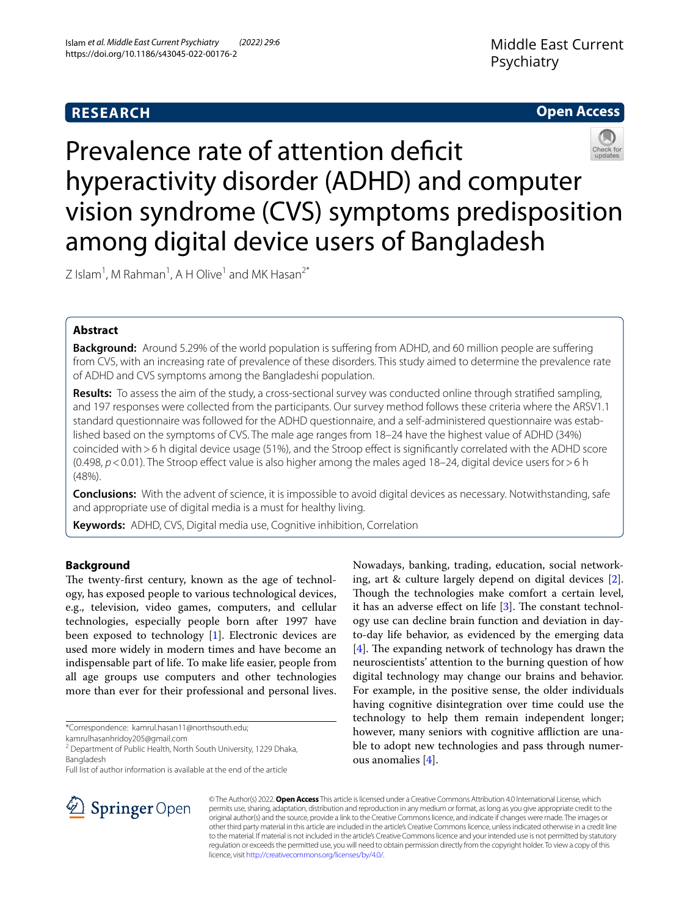# **RESEARCH**

## **Open Access**



Prevalence rate of attention deficit hyperactivity disorder (ADHD) and computer vision syndrome (CVS) symptoms predisposition among digital device users of Bangladesh

Z Islam<sup>1</sup>, M Rahman<sup>1</sup>, A H Olive<sup>1</sup> and MK Hasan<sup>2\*</sup>

## **Abstract**

**Background:** Around 5.29% of the world population is sufering from ADHD, and 60 million people are sufering from CVS, with an increasing rate of prevalence of these disorders. This study aimed to determine the prevalence rate of ADHD and CVS symptoms among the Bangladeshi population.

**Results:** To assess the aim of the study, a cross-sectional survey was conducted online through stratifed sampling, and 197 responses were collected from the participants. Our survey method follows these criteria where the ARSV1.1 standard questionnaire was followed for the ADHD questionnaire, and a self-administered questionnaire was established based on the symptoms of CVS. The male age ranges from 18–24 have the highest value of ADHD (34%) coincided with >6 h digital device usage (51%), and the Stroop effect is significantly correlated with the ADHD score (0.498, *p*<0.01). The Stroop efect value is also higher among the males aged 18–24, digital device users for>6 h (48%).

**Conclusions:** With the advent of science, it is impossible to avoid digital devices as necessary. Notwithstanding, safe and appropriate use of digital media is a must for healthy living.

**Keywords:** ADHD, CVS, Digital media use, Cognitive inhibition, Correlation

## **Background**

The twenty-first century, known as the age of technology, has exposed people to various technological devices, e.g., television, video games, computers, and cellular technologies, especially people born after 1997 have been exposed to technology [\[1](#page-6-0)]. Electronic devices are used more widely in modern times and have become an indispensable part of life. To make life easier, people from all age groups use computers and other technologies more than ever for their professional and personal lives.

\*Correspondence: kamrul.hasan11@northsouth.edu;

kamrulhasanhridoy205@gmail.com

<sup>2</sup> Department of Public Health, North South University, 1229 Dhaka, Bangladesh

Full list of author information is available at the end of the article



Nowadays, banking, trading, education, social networking, art & culture largely depend on digital devices [\[2](#page-6-1)]. Though the technologies make comfort a certain level, it has an adverse effect on life  $[3]$  $[3]$  $[3]$ . The constant technology use can decline brain function and deviation in dayto-day life behavior, as evidenced by the emerging data  $[4]$  $[4]$ . The expanding network of technology has drawn the neuroscientists' attention to the burning question of how digital technology may change our brains and behavior. For example, in the positive sense, the older individuals having cognitive disintegration over time could use the technology to help them remain independent longer; however, many seniors with cognitive affliction are unable to adopt new technologies and pass through numerous anomalies [\[4](#page-6-3)].

© The Author(s) 2022. **Open Access** This article is licensed under a Creative Commons Attribution 4.0 International License, which permits use, sharing, adaptation, distribution and reproduction in any medium or format, as long as you give appropriate credit to the original author(s) and the source, provide a link to the Creative Commons licence, and indicate if changes were made. The images or other third party material in this article are included in the article's Creative Commons licence, unless indicated otherwise in a credit line to the material. If material is not included in the article's Creative Commons licence and your intended use is not permitted by statutory regulation or exceeds the permitted use, you will need to obtain permission directly from the copyright holder. To view a copy of this licence, visit [http://creativecommons.org/licenses/by/4.0/.](http://creativecommons.org/licenses/by/4.0/)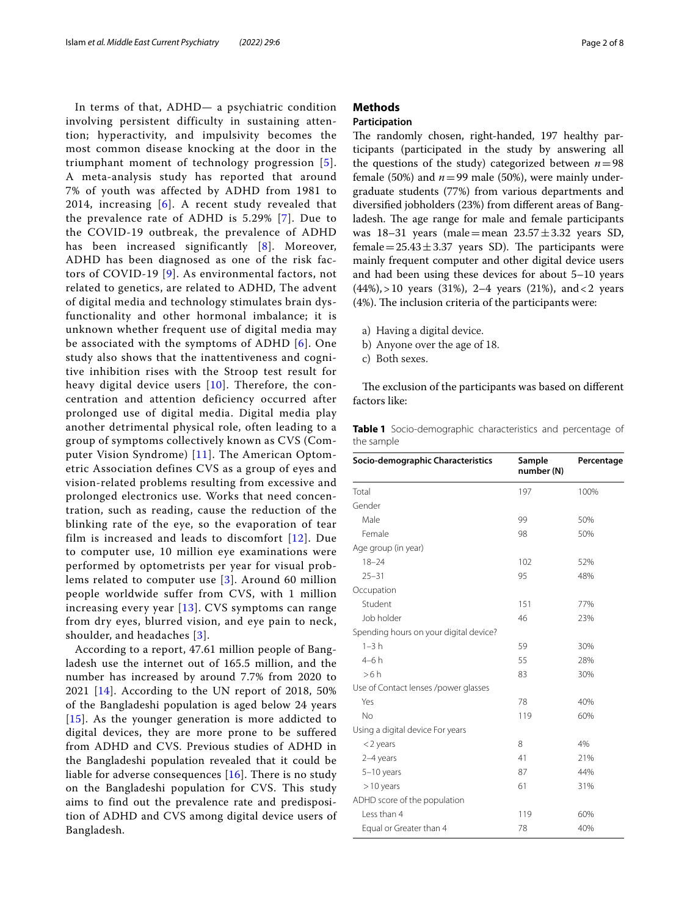In terms of that, ADHD— a psychiatric condition involving persistent difficulty in sustaining attention; hyperactivity, and impulsivity becomes the most common disease knocking at the door in the triumphant moment of technology progression [[5\]](#page-6-4). A meta-analysis study has reported that around 7% of youth was affected by ADHD from 1981 to 2014, increasing [[6](#page-6-5)]. A recent study revealed that the prevalence rate of ADHD is 5.29% [[7](#page-7-0)]. Due to the COVID-19 outbreak, the prevalence of ADHD has been increased significantly [[8](#page-7-1)]. Moreover, ADHD has been diagnosed as one of the risk factors of COVID-19 [[9\]](#page-7-2). As environmental factors, not related to genetics, are related to ADHD, The advent of digital media and technology stimulates brain dysfunctionality and other hormonal imbalance; it is unknown whether frequent use of digital media may be associated with the symptoms of ADHD [[6\]](#page-6-5). One study also shows that the inattentiveness and cognitive inhibition rises with the Stroop test result for heavy digital device users [\[10\]](#page-7-3). Therefore, the concentration and attention deficiency occurred after prolonged use of digital media. Digital media play another detrimental physical role, often leading to a group of symptoms collectively known as CVS (Computer Vision Syndrome) [[11\]](#page-7-4). The American Optometric Association defines CVS as a group of eyes and vision-related problems resulting from excessive and prolonged electronics use. Works that need concentration, such as reading, cause the reduction of the blinking rate of the eye, so the evaporation of tear film is increased and leads to discomfort [[12\]](#page-7-5). Due to computer use, 10 million eye examinations were performed by optometrists per year for visual problems related to computer use [[3\]](#page-6-2). Around 60 million people worldwide suffer from CVS, with 1 million increasing every year [[13\]](#page-7-6). CVS symptoms can range from dry eyes, blurred vision, and eye pain to neck, shoulder, and headaches [[3](#page-6-2)].

According to a report, 47.61 million people of Bangladesh use the internet out of 165.5 million, and the number has increased by around 7.7% from 2020 to 2021 [[14\]](#page-7-7). According to the UN report of 2018, 50% of the Bangladeshi population is aged below 24 years [[15](#page-7-8)]. As the younger generation is more addicted to digital devices, they are more prone to be suffered from ADHD and CVS. Previous studies of ADHD in the Bangladeshi population revealed that it could be liable for adverse consequences  $[16]$ . There is no study on the Bangladeshi population for CVS. This study aims to find out the prevalence rate and predisposition of ADHD and CVS among digital device users of Bangladesh.

## **Methods**

## **Participation**

The randomly chosen, right-handed, 197 healthy participants (participated in the study by answering all the questions of the study) categorized between  $n=98$ female (50%) and  $n=99$  male (50%), were mainly undergraduate students (77%) from various departments and diversifed jobholders (23%) from diferent areas of Bangladesh. The age range for male and female participants was 18–31 years (male=mean  $23.57 \pm 3.32$  years SD, female =  $25.43 \pm 3.37$  years SD). The participants were mainly frequent computer and other digital device users and had been using these devices for about 5–10 years  $(44%)$ , > 10 years  $(31%)$ , 2–4 years  $(21%)$ , and < 2 years (4%). The inclusion criteria of the participants were:

- a) Having a digital device.
- b) Anyone over the age of 18.
- c) Both sexes.

The exclusion of the participants was based on different factors like:

<span id="page-1-0"></span>**Table 1** Socio-demographic characteristics and percentage of the sample

| Socio-demographic Characteristics      | Sample<br>number (N) | Percentage |
|----------------------------------------|----------------------|------------|
| Total                                  | 197                  | 100%       |
| Gender                                 |                      |            |
| Male                                   | 99                   | 50%        |
| Female                                 | 98                   | 50%        |
| Age group (in year)                    |                      |            |
| $18 - 24$                              | 102                  | 52%        |
| $25 - 31$                              | 95                   | 48%        |
| Occupation                             |                      |            |
| Student                                | 151                  | 77%        |
| Job holder                             | 46                   | 23%        |
| Spending hours on your digital device? |                      |            |
| $1-3h$                                 | 59                   | 30%        |
| $4-6h$                                 | 55                   | 28%        |
| >6 h                                   | 83                   | 30%        |
| Use of Contact lenses /power glasses   |                      |            |
| Yes                                    | 78                   | 40%        |
| No                                     | 119                  | 60%        |
| Using a digital device For years       |                      |            |
| $<$ 2 years                            | 8                    | 4%         |
| 2-4 years                              | 41                   | 21%        |
| 5-10 years                             | 87                   | 44%        |
| $>10$ years                            | 61                   | 31%        |
| ADHD score of the population           |                      |            |
| Less than 4                            | 119                  | 60%        |
| Equal or Greater than 4                | 78                   | 40%        |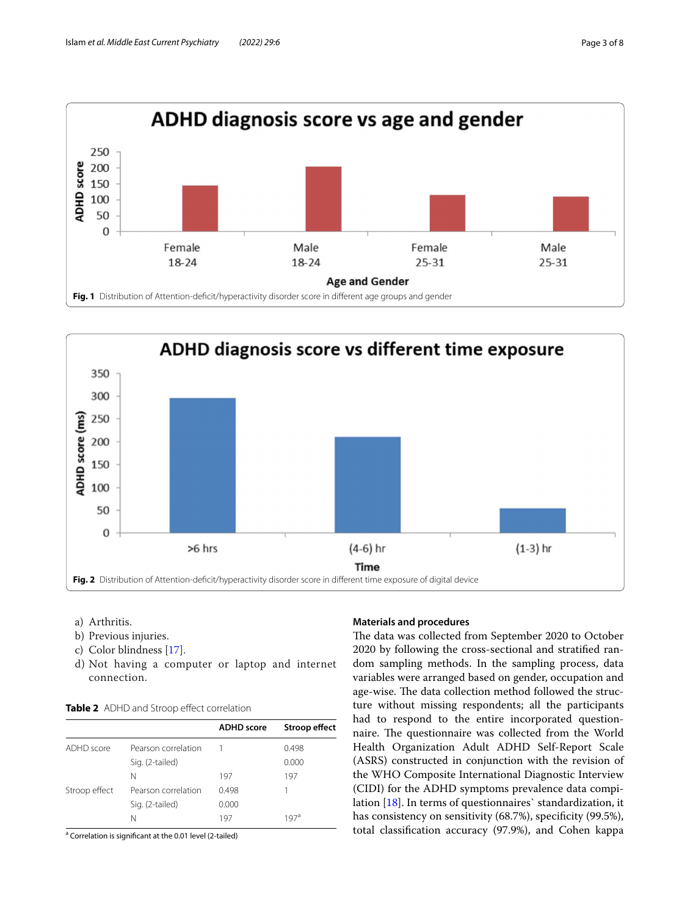

<span id="page-2-0"></span>

- <span id="page-2-1"></span>a) Arthritis.
- b) Previous injuries.
- c) Color blindness [\[17](#page-7-10)].
- d) Not having a computer or laptop and internet connection.

<span id="page-2-2"></span>

| <b>Table 2</b> ADHD and Stroop effect correlation |
|---------------------------------------------------|
|                                                   |

|               |                     | <b>ADHD</b> score | Stroop effect |
|---------------|---------------------|-------------------|---------------|
| ADHD score    | Pearson correlation |                   | 0.498         |
|               | Sig. (2-tailed)     |                   | 0.000         |
|               | N                   | 197               | 197           |
| Stroop effect | Pearson correlation | 0.498             |               |
|               | Sig. (2-tailed)     | 0.000             |               |
|               | Ν                   | 197               | 197ª          |

<sup>a</sup> Correlation is significant at the 0.01 level (2-tailed)

### **Materials and procedures**

The data was collected from September 2020 to October 2020 by following the cross-sectional and stratifed random sampling methods. In the sampling process, data variables were arranged based on gender, occupation and age-wise. The data collection method followed the structure without missing respondents; all the participants had to respond to the entire incorporated questionnaire. The questionnaire was collected from the World Health Organization Adult ADHD Self-Report Scale (ASRS) constructed in conjunction with the revision of the WHO Composite International Diagnostic Interview (CIDI) for the ADHD symptoms prevalence data compilation [[18](#page-7-11)]. In terms of questionnaires` standardization, it has consistency on sensitivity (68.7%), specificity (99.5%), total classifcation accuracy (97.9%), and Cohen kappa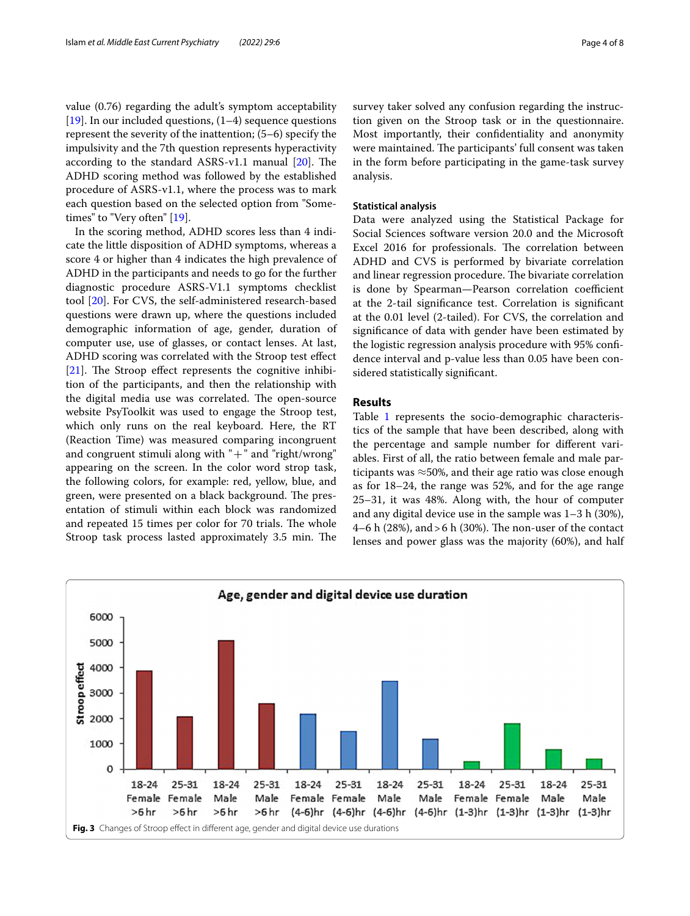value (0.76) regarding the adult's symptom acceptability [[19\]](#page-7-12). In our included questions,  $(1-4)$  sequence questions represent the severity of the inattention; (5–6) specify the impulsivity and the 7th question represents hyperactivity according to the standard ASRS-v1.1 manual  $[20]$  $[20]$ . The ADHD scoring method was followed by the established procedure of ASRS-v1.1, where the process was to mark each question based on the selected option from "Sometimes" to "Very often" [[19](#page-7-12)].

In the scoring method, ADHD scores less than 4 indicate the little disposition of ADHD symptoms, whereas a score 4 or higher than 4 indicates the high prevalence of ADHD in the participants and needs to go for the further diagnostic procedure ASRS-V1.1 symptoms checklist tool [\[20\]](#page-7-13). For CVS, the self-administered research-based questions were drawn up, where the questions included demographic information of age, gender, duration of computer use, use of glasses, or contact lenses. At last, ADHD scoring was correlated with the Stroop test efect  $[21]$  $[21]$ . The Stroop effect represents the cognitive inhibition of the participants, and then the relationship with the digital media use was correlated. The open-source website PsyToolkit was used to engage the Stroop test, which only runs on the real keyboard. Here, the RT (Reaction Time) was measured comparing incongruent and congruent stimuli along with  $" +"$  and "right/wrong" appearing on the screen. In the color word strop task, the following colors, for example: red, yellow, blue, and green, were presented on a black background. The presentation of stimuli within each block was randomized and repeated 15 times per color for 70 trials. The whole Stroop task process lasted approximately 3.5 min. The survey taker solved any confusion regarding the instruction given on the Stroop task or in the questionnaire. Most importantly, their confdentiality and anonymity were maintained. The participants' full consent was taken in the form before participating in the game-task survey analysis.

### **Statistical analysis**

Data were analyzed using the Statistical Package for Social Sciences software version 20.0 and the Microsoft Excel 2016 for professionals. The correlation between ADHD and CVS is performed by bivariate correlation and linear regression procedure. The bivariate correlation is done by Spearman-Pearson correlation coefficient at the 2-tail signifcance test. Correlation is signifcant at the 0.01 level (2-tailed). For CVS, the correlation and signifcance of data with gender have been estimated by the logistic regression analysis procedure with 95% confdence interval and p-value less than 0.05 have been considered statistically signifcant.

## **Results**

Table [1](#page-1-0) represents the socio-demographic characteristics of the sample that have been described, along with the percentage and sample number for diferent variables. First of all, the ratio between female and male participants was  $\approx$ 50%, and their age ratio was close enough as for 18–24, the range was 52%, and for the age range 25–31, it was 48%. Along with, the hour of computer and any digital device use in the sample was 1–3 h (30%), 4–6 h (28%), and > 6 h (30%). The non-user of the contact lenses and power glass was the majority (60%), and half

<span id="page-3-0"></span>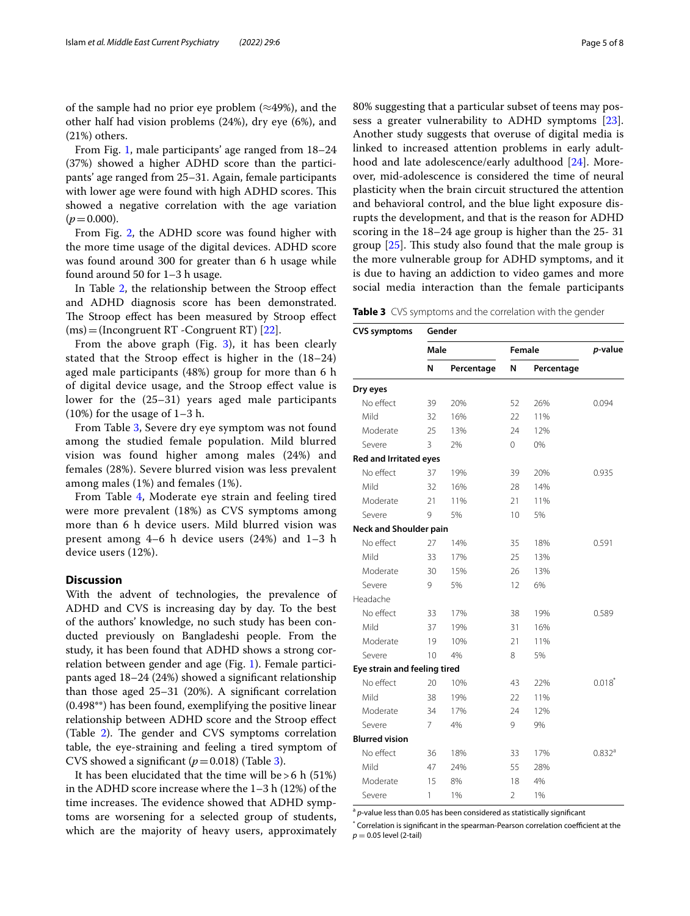of the sample had no prior eye problem  $(\approx 49\%)$ , and the other half had vision problems (24%), dry eye (6%), and (21%) others.

From Fig. [1](#page-2-0), male participants' age ranged from 18–24 (37%) showed a higher ADHD score than the participants' age ranged from 25–31. Again, female participants with lower age were found with high ADHD scores. This showed a negative correlation with the age variation  $(p=0.000)$ .

From Fig. [2](#page-2-1), the ADHD score was found higher with the more time usage of the digital devices. ADHD score was found around 300 for greater than 6 h usage while found around 50 for 1–3 h usage.

In Table [2,](#page-2-2) the relationship between the Stroop effect and ADHD diagnosis score has been demonstrated. The Stroop effect has been measured by Stroop effect (ms)=(Incongruent RT -Congruent RT) [[22\]](#page-7-15).

From the above graph (Fig. [3](#page-3-0)), it has been clearly stated that the Stroop efect is higher in the (18–24) aged male participants (48%) group for more than 6 h of digital device usage, and the Stroop efect value is lower for the (25–31) years aged male participants (10%) for the usage of 1–3 h.

From Table [3](#page-4-0), Severe dry eye symptom was not found among the studied female population. Mild blurred vision was found higher among males (24%) and females (28%). Severe blurred vision was less prevalent among males (1%) and females (1%).

From Table [4,](#page-5-0) Moderate eye strain and feeling tired were more prevalent (18%) as CVS symptoms among more than 6 h device users. Mild blurred vision was present among 4–6 h device users (24%) and 1–3 h device users (12%).

## **Discussion**

With the advent of technologies, the prevalence of ADHD and CVS is increasing day by day. To the best of the authors' knowledge, no such study has been conducted previously on Bangladeshi people. From the study, it has been found that ADHD shows a strong correlation between gender and age (Fig. [1](#page-2-0)). Female participants aged 18–24 (24%) showed a signifcant relationship than those aged 25–31 (20%). A signifcant correlation (0.498\*\*) has been found, exemplifying the positive linear relationship between ADHD score and the Stroop efect (Table [2\)](#page-2-2). The gender and CVS symptoms correlation table, the eye-straining and feeling a tired symptom of CVS showed a significant  $(p=0.018)$  (Table [3](#page-4-0)).

It has been elucidated that the time will be  $>6$  h (51%) in the ADHD score increase where the 1–3 h (12%) of the time increases. The evidence showed that ADHD symptoms are worsening for a selected group of students, which are the majority of heavy users, approximately 80% suggesting that a particular subset of teens may possess a greater vulnerability to ADHD symptoms [\[23](#page-7-16)]. Another study suggests that overuse of digital media is linked to increased attention problems in early adulthood and late adolescence/early adulthood [\[24](#page-7-17)]. Moreover, mid-adolescence is considered the time of neural plasticity when the brain circuit structured the attention and behavioral control, and the blue light exposure disrupts the development, and that is the reason for ADHD scoring in the 18–24 age group is higher than the 25- 31 group  $[25]$  $[25]$ . This study also found that the male group is the more vulnerable group for ADHD symptoms, and it is due to having an addiction to video games and more social media interaction than the female participants

<span id="page-4-0"></span>**Table 3** CVS symptoms and the correlation with the gender

| <b>CVS symptoms</b>           | Gender |            |        |            |           |  |
|-------------------------------|--------|------------|--------|------------|-----------|--|
|                               | Male   |            | Female |            | p-value   |  |
|                               | N      | Percentage | N      | Percentage |           |  |
| Dry eyes                      |        |            |        |            |           |  |
| No effect                     | 39     | 20%        | 52     | 26%        | 0.094     |  |
| Mild                          | 32     | 16%        | 22     | 11%        |           |  |
| Moderate                      | 25     | 13%        | 24     | 12%        |           |  |
| Severe                        | 3      | 2%         | 0      | 0%         |           |  |
| <b>Red and Irritated eyes</b> |        |            |        |            |           |  |
| No effect                     | 37     | 19%        | 39     | 20%        | 0.935     |  |
| Mild                          | 32     | 16%        | 28     | 14%        |           |  |
| Moderate                      | 21     | 11%        | 21     | 11%        |           |  |
| Severe                        | 9      | 5%         | 10     | 5%         |           |  |
| <b>Neck and Shoulder pain</b> |        |            |        |            |           |  |
| No effect                     | 27     | 14%        | 35     | 18%        | 0.591     |  |
| Mild                          | 33     | 17%        | 25     | 13%        |           |  |
| Moderate                      | 30     | 15%        | 26     | 13%        |           |  |
| Severe                        | 9      | 5%         | 12     | 6%         |           |  |
| Headache                      |        |            |        |            |           |  |
| No effect                     | 33     | 17%        | 38     | 19%        | 0.589     |  |
| Mild                          | 37     | 19%        | 31     | 16%        |           |  |
| Moderate                      | 19     | 10%        | 21     | 11%        |           |  |
| Severe                        | 10     | 4%         | 8      | 5%         |           |  |
| Eye strain and feeling tired  |        |            |        |            |           |  |
| No effect                     | 20     | 10%        | 43     | 22%        | $0.018^*$ |  |
| Mild                          | 38     | 19%        | 22     | 11%        |           |  |
| Moderate                      | 34     | 17%        | 24     | 12%        |           |  |
| Severe                        | 7      | 4%         | 9      | 9%         |           |  |
| <b>Blurred vision</b>         |        |            |        |            |           |  |
| No effect                     | 36     | 18%        | 33     | 17%        | 0.832a    |  |
| Mild                          | 47     | 24%        | 55     | 28%        |           |  |
| Moderate                      | 15     | 8%         | 18     | 4%         |           |  |
| Severe                        | 1      | 1%         | 2      | 1%         |           |  |

<sup>a</sup> *p*-value less than 0.05 has been considered as statistically significant

 $*$  Correlation is significant in the spearman-Pearson correlation coefficient at the  $p = 0.05$  level (2-tail)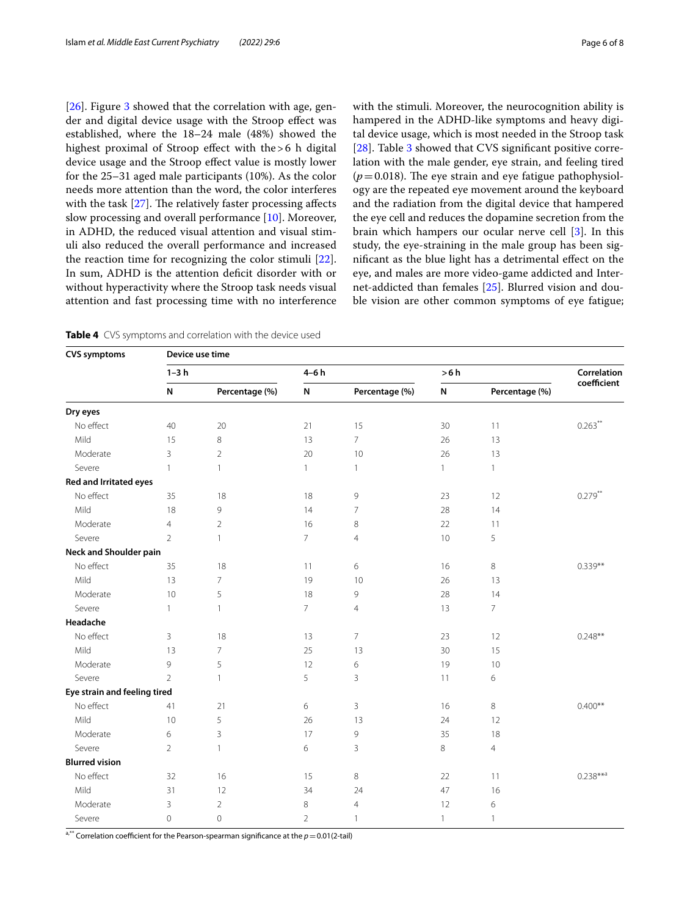[[26\]](#page-7-19). Figure [3](#page-3-0) showed that the correlation with age, gender and digital device usage with the Stroop efect was established, where the 18–24 male (48%) showed the highest proximal of Stroop effect with the >6 h digital device usage and the Stroop efect value is mostly lower for the 25–31 aged male participants (10%). As the color needs more attention than the word, the color interferes with the task  $[27]$  $[27]$ . The relatively faster processing affects slow processing and overall performance [\[10](#page-7-3)]. Moreover, in ADHD, the reduced visual attention and visual stimuli also reduced the overall performance and increased the reaction time for recognizing the color stimuli [\[22](#page-7-15)]. In sum, ADHD is the attention deficit disorder with or without hyperactivity where the Stroop task needs visual attention and fast processing time with no interference with the stimuli. Moreover, the neurocognition ability is hampered in the ADHD-like symptoms and heavy digital device usage, which is most needed in the Stroop task [[28\]](#page-7-21). Table [3](#page-4-0) showed that CVS significant positive correlation with the male gender, eye strain, and feeling tired  $(p=0.018)$ . The eye strain and eye fatigue pathophysiology are the repeated eye movement around the keyboard and the radiation from the digital device that hampered the eye cell and reduces the dopamine secretion from the brain which hampers our ocular nerve cell [\[3](#page-6-2)]. In this study, the eye-straining in the male group has been signifcant as the blue light has a detrimental efect on the eye, and males are more video-game addicted and Internet-addicted than females [[25](#page-7-18)]. Blurred vision and double vision are other common symptoms of eye fatigue;

<span id="page-5-0"></span>**Table 4** CVS symptoms and correlation with the device used

| <b>CVS symptoms</b>           |                | Device use time |                |                |              |                |             |  |  |
|-------------------------------|----------------|-----------------|----------------|----------------|--------------|----------------|-------------|--|--|
|                               | $1-3h$         |                 |                | $4-6h$         |              | >6 h           |             |  |  |
|                               | N              | Percentage (%)  | ${\sf N}$      | Percentage (%) | N            | Percentage (%) | coefficient |  |  |
| Dry eyes                      |                |                 |                |                |              |                |             |  |  |
| No effect                     | 40             | 20              | 21             | 15             | 30           | 11             | $0.263$ **  |  |  |
| Mild                          | 15             | $\,8\,$         | 13             | $\overline{7}$ | 26           | 13             |             |  |  |
| Moderate                      | 3              | $\overline{2}$  | 20             | 10             | 26           | 13             |             |  |  |
| Severe                        | $\mathbf{1}$   | $\mathbf{1}$    | 1              | $\mathbf{1}$   | $\mathbf{1}$ | $\mathbf{1}$   |             |  |  |
| Red and Irritated eyes        |                |                 |                |                |              |                |             |  |  |
| No effect                     | 35             | $18\,$          | 18             | 9              | 23           | 12             | $0.279$ **  |  |  |
| Mild                          | 18             | 9               | 14             | 7              | 28           | 14             |             |  |  |
| Moderate                      | $\overline{4}$ | $\overline{2}$  | 16             | 8              | 22           | 11             |             |  |  |
| Severe                        | $\overline{2}$ | 1               | $\overline{7}$ | $\overline{4}$ | 10           | 5              |             |  |  |
| <b>Neck and Shoulder pain</b> |                |                 |                |                |              |                |             |  |  |
| No effect                     | 35             | 18              | 11             | 6              | 16           | 8              | $0.339**$   |  |  |
| Mild                          | 13             | $\overline{7}$  | 19             | 10             | 26           | 13             |             |  |  |
| Moderate                      | 10             | 5               | 18             | 9              | 28           | 14             |             |  |  |
| Severe                        | $\mathbf{1}$   | 1               | 7              | 4              | 13           | 7              |             |  |  |
| Headache                      |                |                 |                |                |              |                |             |  |  |
| No effect                     | 3              | 18              | 13             | $\overline{7}$ | 23           | 12             | $0.248**$   |  |  |
| Mild                          | 13             | $\overline{7}$  | 25             | 13             | 30           | 15             |             |  |  |
| Moderate                      | 9              | 5               | 12             | 6              | 19           | 10             |             |  |  |
| Severe                        | $\overline{2}$ | 1               | 5              | $\overline{3}$ | 11           | 6              |             |  |  |
| Eye strain and feeling tired  |                |                 |                |                |              |                |             |  |  |
| No effect                     | 41             | 21              | 6              | 3              | 16           | 8              | $0.400**$   |  |  |
| Mild                          | 10             | 5               | 26             | 13             | 24           | 12             |             |  |  |
| Moderate                      | 6              | 3               | 17             | 9              | 35           | 18             |             |  |  |
| Severe                        | $\overline{2}$ | $\mathbf{1}$    | 6              | 3              | 8            | $\overline{4}$ |             |  |  |
| <b>Blurred vision</b>         |                |                 |                |                |              |                |             |  |  |
| No effect                     | 32             | 16              | 15             | 8              | 22           | 11             | $0.238***$  |  |  |
| Mild                          | 31             | 12              | 34             | 24             | 47           | 16             |             |  |  |
| Moderate                      | 3              | $\overline{2}$  | 8              | $\overline{4}$ | 12           | 6              |             |  |  |
| Severe                        | 0              | $\mathbf 0$     | $\overline{2}$ | $\mathbf{1}$   | $\mathbf{1}$ | 1              |             |  |  |

 $a_{i}^{**}$  Correlation coefficient for the Pearson-spearman significance at the  $p=0.01(2\times1)$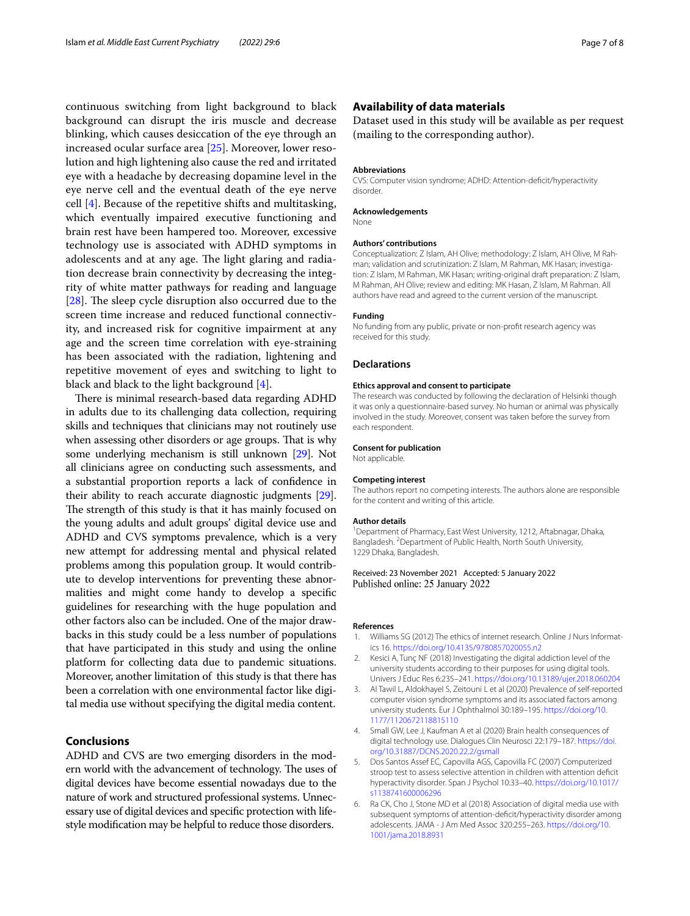continuous switching from light background to black background can disrupt the iris muscle and decrease blinking, which causes desiccation of the eye through an increased ocular surface area [[25\]](#page-7-18). Moreover, lower resolution and high lightening also cause the red and irritated eye with a headache by decreasing dopamine level in the eye nerve cell and the eventual death of the eye nerve cell [\[4](#page-6-3)]. Because of the repetitive shifts and multitasking, which eventually impaired executive functioning and brain rest have been hampered too. Moreover, excessive technology use is associated with ADHD symptoms in adolescents and at any age. The light glaring and radiation decrease brain connectivity by decreasing the integrity of white matter pathways for reading and language [ $28$ ]. The sleep cycle disruption also occurred due to the screen time increase and reduced functional connectivity, and increased risk for cognitive impairment at any age and the screen time correlation with eye-straining has been associated with the radiation, lightening and repetitive movement of eyes and switching to light to black and black to the light background [\[4](#page-6-3)].

There is minimal research-based data regarding ADHD in adults due to its challenging data collection, requiring skills and techniques that clinicians may not routinely use when assessing other disorders or age groups. That is why some underlying mechanism is still unknown [[29](#page-7-22)]. Not all clinicians agree on conducting such assessments, and a substantial proportion reports a lack of confdence in their ability to reach accurate diagnostic judgments [[29](#page-7-22)]. The strength of this study is that it has mainly focused on the young adults and adult groups' digital device use and ADHD and CVS symptoms prevalence, which is a very new attempt for addressing mental and physical related problems among this population group. It would contribute to develop interventions for preventing these abnormalities and might come handy to develop a specifc guidelines for researching with the huge population and other factors also can be included. One of the major drawbacks in this study could be a less number of populations that have participated in this study and using the online platform for collecting data due to pandemic situations. Moreover, another limitation of this study is that there has been a correlation with one environmental factor like digital media use without specifying the digital media content.

## **Conclusions**

ADHD and CVS are two emerging disorders in the modern world with the advancement of technology. The uses of digital devices have become essential nowadays due to the nature of work and structured professional systems. Unnecessary use of digital devices and specifc protection with lifestyle modifcation may be helpful to reduce those disorders.

## **Availability of data materials**

Dataset used in this study will be available as per request (mailing to the corresponding author).

#### **Abbreviations**

CVS: Computer vision syndrome; ADHD: Attention-defcit/hyperactivity disorder.

#### **Acknowledgements**

None

#### **Authors' contributions**

Conceptualization: Z Islam, AH Olive; methodology: Z Islam, AH Olive, M Rahman; validation and scrutinization: Z Islam, M Rahman, MK Hasan; investigation: Z Islam, M Rahman, MK Hasan; writing-original draft preparation: Z Islam, M Rahman, AH Olive; review and editing: MK Hasan, Z Islam, M Rahman. All authors have read and agreed to the current version of the manuscript.

#### **Funding**

No funding from any public, private or non-proft research agency was received for this study.

### **Declarations**

#### **Ethics approval and consent to participate**

The research was conducted by following the declaration of Helsinki though it was only a questionnaire-based survey. No human or animal was physically involved in the study. Moreover, consent was taken before the survey from each respondent.

#### **Consent for publication**

Not applicable.

#### **Competing interest**

The authors report no competing interests. The authors alone are responsible for the content and writing of this article.

#### **Author details**

<sup>1</sup> Department of Pharmacy, East West University, 1212, Aftabnagar, Dhaka, Bangladesh. 2 Department of Public Health, North South University, 1229 Dhaka, Bangladesh.

Received: 23 November 2021 Accepted: 5 January 2022 Published online: 25 January 2022

#### **References**

- <span id="page-6-0"></span>Williams SG (2012) The ethics of internet research. Online J Nurs Informatics 16.<https://doi.org/10.4135/9780857020055.n2>
- <span id="page-6-1"></span>2. Kesici A, Tunç NF (2018) Investigating the digital addiction level of the university students according to their purposes for using digital tools. Univers J Educ Res 6:235–241. <https://doi.org/10.13189/ujer.2018.060204>
- <span id="page-6-2"></span>3. Al Tawil L, Aldokhayel S, Zeitouni L et al (2020) Prevalence of self-reported computer vision syndrome symptoms and its associated factors among university students. Eur J Ophthalmol 30:189–195. [https://doi.org/10.](https://doi.org/10.1177/1120672118815110) [1177/1120672118815110](https://doi.org/10.1177/1120672118815110)
- <span id="page-6-3"></span>4. Small GW, Lee J, Kaufman A et al (2020) Brain health consequences of digital technology use. Dialogues Clin Neurosci 22:179–187. [https://doi.](https://doi.org/10.31887/DCNS.2020.22.2/gsmall) [org/10.31887/DCNS.2020.22.2/gsmall](https://doi.org/10.31887/DCNS.2020.22.2/gsmall)
- <span id="page-6-4"></span>5. Dos Santos Assef EC, Capovilla AGS, Capovilla FC (2007) Computerized stroop test to assess selective attention in children with attention defcit hyperactivity disorder. Span J Psychol 10:33–40. [https://doi.org/10.1017/](https://doi.org/10.1017/s1138741600006296) [s1138741600006296](https://doi.org/10.1017/s1138741600006296)
- <span id="page-6-5"></span>6. Ra CK, Cho J, Stone MD et al (2018) Association of digital media use with subsequent symptoms of attention-defcit/hyperactivity disorder among adolescents. JAMA - J Am Med Assoc 320:255–263. [https://doi.org/10.](https://doi.org/10.1001/jama.2018.8931) [1001/jama.2018.8931](https://doi.org/10.1001/jama.2018.8931)